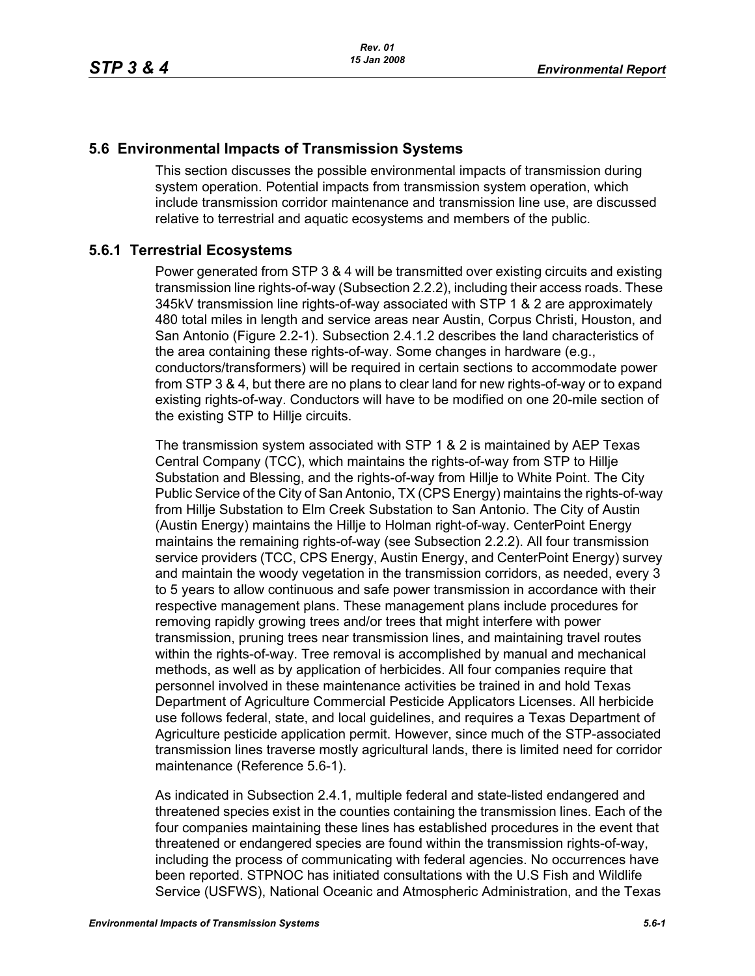## **5.6 Environmental Impacts of Transmission Systems**

This section discusses the possible environmental impacts of transmission during system operation. Potential impacts from transmission system operation, which include transmission corridor maintenance and transmission line use, are discussed relative to terrestrial and aquatic ecosystems and members of the public.

# **5.6.1 Terrestrial Ecosystems**

Power generated from STP 3 & 4 will be transmitted over existing circuits and existing transmission line rights-of-way (Subsection 2.2.2), including their access roads. These 345kV transmission line rights-of-way associated with STP 1 & 2 are approximately 480 total miles in length and service areas near Austin, Corpus Christi, Houston, and San Antonio (Figure 2.2-1). Subsection 2.4.1.2 describes the land characteristics of the area containing these rights-of-way. Some changes in hardware (e.g., conductors/transformers) will be required in certain sections to accommodate power from STP 3 & 4, but there are no plans to clear land for new rights-of-way or to expand existing rights-of-way. Conductors will have to be modified on one 20-mile section of the existing STP to Hillje circuits.

The transmission system associated with STP 1 & 2 is maintained by AEP Texas Central Company (TCC), which maintains the rights-of-way from STP to Hillje Substation and Blessing, and the rights-of-way from Hillje to White Point. The City Public Service of the City of San Antonio, TX (CPS Energy) maintains the rights-of-way from Hillje Substation to Elm Creek Substation to San Antonio. The City of Austin (Austin Energy) maintains the Hillje to Holman right-of-way. CenterPoint Energy maintains the remaining rights-of-way (see Subsection 2.2.2). All four transmission service providers (TCC, CPS Energy, Austin Energy, and CenterPoint Energy) survey and maintain the woody vegetation in the transmission corridors, as needed, every 3 to 5 years to allow continuous and safe power transmission in accordance with their respective management plans. These management plans include procedures for removing rapidly growing trees and/or trees that might interfere with power transmission, pruning trees near transmission lines, and maintaining travel routes within the rights-of-way. Tree removal is accomplished by manual and mechanical methods, as well as by application of herbicides. All four companies require that personnel involved in these maintenance activities be trained in and hold Texas Department of Agriculture Commercial Pesticide Applicators Licenses. All herbicide use follows federal, state, and local guidelines, and requires a Texas Department of Agriculture pesticide application permit. However, since much of the STP-associated transmission lines traverse mostly agricultural lands, there is limited need for corridor maintenance (Reference 5.6-1).

As indicated in Subsection 2.4.1, multiple federal and state-listed endangered and threatened species exist in the counties containing the transmission lines. Each of the four companies maintaining these lines has established procedures in the event that threatened or endangered species are found within the transmission rights-of-way, including the process of communicating with federal agencies. No occurrences have been reported. STPNOC has initiated consultations with the U.S Fish and Wildlife Service (USFWS), National Oceanic and Atmospheric Administration, and the Texas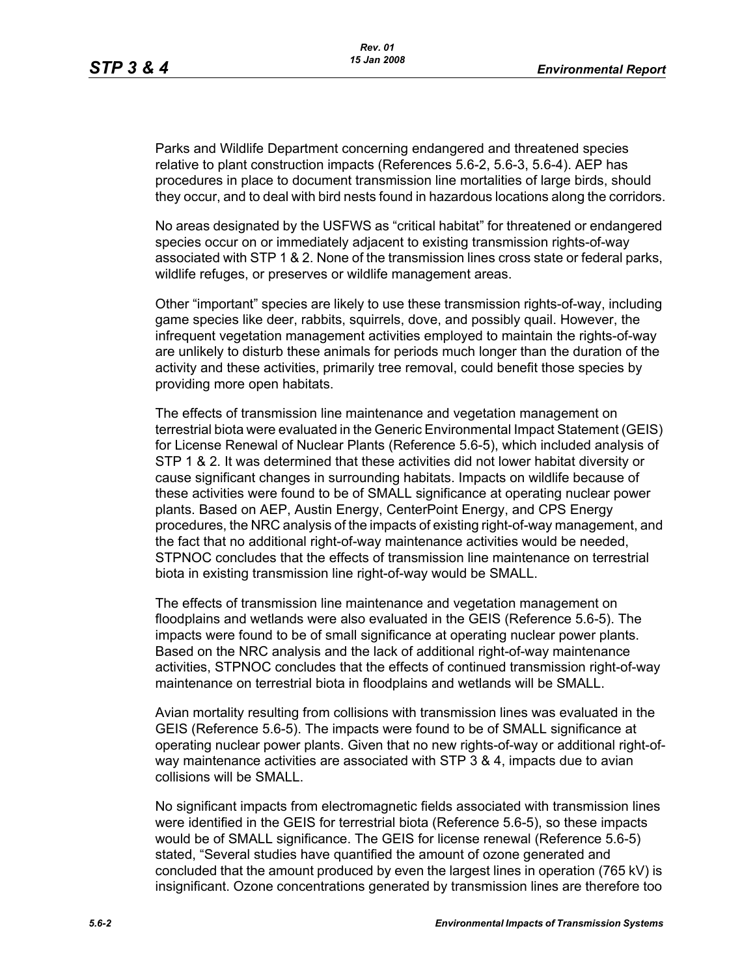Parks and Wildlife Department concerning endangered and threatened species relative to plant construction impacts (References 5.6-2, 5.6-3, 5.6-4). AEP has procedures in place to document transmission line mortalities of large birds, should they occur, and to deal with bird nests found in hazardous locations along the corridors.

No areas designated by the USFWS as "critical habitat" for threatened or endangered species occur on or immediately adjacent to existing transmission rights-of-way associated with STP 1 & 2. None of the transmission lines cross state or federal parks, wildlife refuges, or preserves or wildlife management areas.

Other "important" species are likely to use these transmission rights-of-way, including game species like deer, rabbits, squirrels, dove, and possibly quail. However, the infrequent vegetation management activities employed to maintain the rights-of-way are unlikely to disturb these animals for periods much longer than the duration of the activity and these activities, primarily tree removal, could benefit those species by providing more open habitats.

The effects of transmission line maintenance and vegetation management on terrestrial biota were evaluated in the Generic Environmental Impact Statement (GEIS) for License Renewal of Nuclear Plants (Reference 5.6-5), which included analysis of STP 1 & 2. It was determined that these activities did not lower habitat diversity or cause significant changes in surrounding habitats. Impacts on wildlife because of these activities were found to be of SMALL significance at operating nuclear power plants. Based on AEP, Austin Energy, CenterPoint Energy, and CPS Energy procedures, the NRC analysis of the impacts of existing right-of-way management, and the fact that no additional right-of-way maintenance activities would be needed, STPNOC concludes that the effects of transmission line maintenance on terrestrial biota in existing transmission line right-of-way would be SMALL.

The effects of transmission line maintenance and vegetation management on floodplains and wetlands were also evaluated in the GEIS (Reference 5.6-5). The impacts were found to be of small significance at operating nuclear power plants. Based on the NRC analysis and the lack of additional right-of-way maintenance activities, STPNOC concludes that the effects of continued transmission right-of-way maintenance on terrestrial biota in floodplains and wetlands will be SMALL.

Avian mortality resulting from collisions with transmission lines was evaluated in the GEIS (Reference 5.6-5). The impacts were found to be of SMALL significance at operating nuclear power plants. Given that no new rights-of-way or additional right-ofway maintenance activities are associated with STP 3 & 4, impacts due to avian collisions will be SMALL.

No significant impacts from electromagnetic fields associated with transmission lines were identified in the GEIS for terrestrial biota (Reference 5.6-5), so these impacts would be of SMALL significance. The GEIS for license renewal (Reference 5.6-5) stated, "Several studies have quantified the amount of ozone generated and concluded that the amount produced by even the largest lines in operation (765 kV) is insignificant. Ozone concentrations generated by transmission lines are therefore too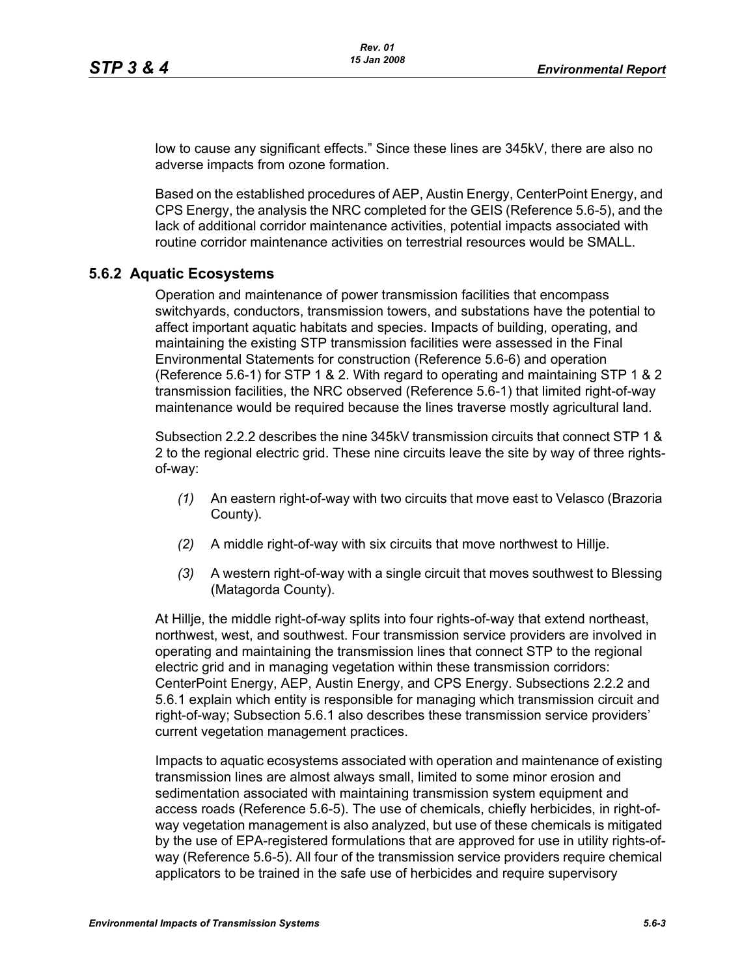low to cause any significant effects." Since these lines are 345kV, there are also no adverse impacts from ozone formation.

Based on the established procedures of AEP, Austin Energy, CenterPoint Energy, and CPS Energy, the analysis the NRC completed for the GEIS (Reference 5.6-5), and the lack of additional corridor maintenance activities, potential impacts associated with routine corridor maintenance activities on terrestrial resources would be SMALL.

## **5.6.2 Aquatic Ecosystems**

Operation and maintenance of power transmission facilities that encompass switchyards, conductors, transmission towers, and substations have the potential to affect important aquatic habitats and species. Impacts of building, operating, and maintaining the existing STP transmission facilities were assessed in the Final Environmental Statements for construction (Reference 5.6-6) and operation (Reference 5.6-1) for STP 1 & 2. With regard to operating and maintaining STP 1 & 2 transmission facilities, the NRC observed (Reference 5.6-1) that limited right-of-way maintenance would be required because the lines traverse mostly agricultural land.

Subsection 2.2.2 describes the nine 345kV transmission circuits that connect STP 1 & 2 to the regional electric grid. These nine circuits leave the site by way of three rightsof-way:

- *(1)* An eastern right-of-way with two circuits that move east to Velasco (Brazoria County).
- *(2)* A middle right-of-way with six circuits that move northwest to Hillje.
- *(3)* A western right-of-way with a single circuit that moves southwest to Blessing (Matagorda County).

At Hillje, the middle right-of-way splits into four rights-of-way that extend northeast, northwest, west, and southwest. Four transmission service providers are involved in operating and maintaining the transmission lines that connect STP to the regional electric grid and in managing vegetation within these transmission corridors: CenterPoint Energy, AEP, Austin Energy, and CPS Energy. Subsections 2.2.2 and 5.6.1 explain which entity is responsible for managing which transmission circuit and right-of-way; Subsection 5.6.1 also describes these transmission service providers' current vegetation management practices.

Impacts to aquatic ecosystems associated with operation and maintenance of existing transmission lines are almost always small, limited to some minor erosion and sedimentation associated with maintaining transmission system equipment and access roads (Reference 5.6-5). The use of chemicals, chiefly herbicides, in right-ofway vegetation management is also analyzed, but use of these chemicals is mitigated by the use of EPA-registered formulations that are approved for use in utility rights-ofway (Reference 5.6-5). All four of the transmission service providers require chemical applicators to be trained in the safe use of herbicides and require supervisory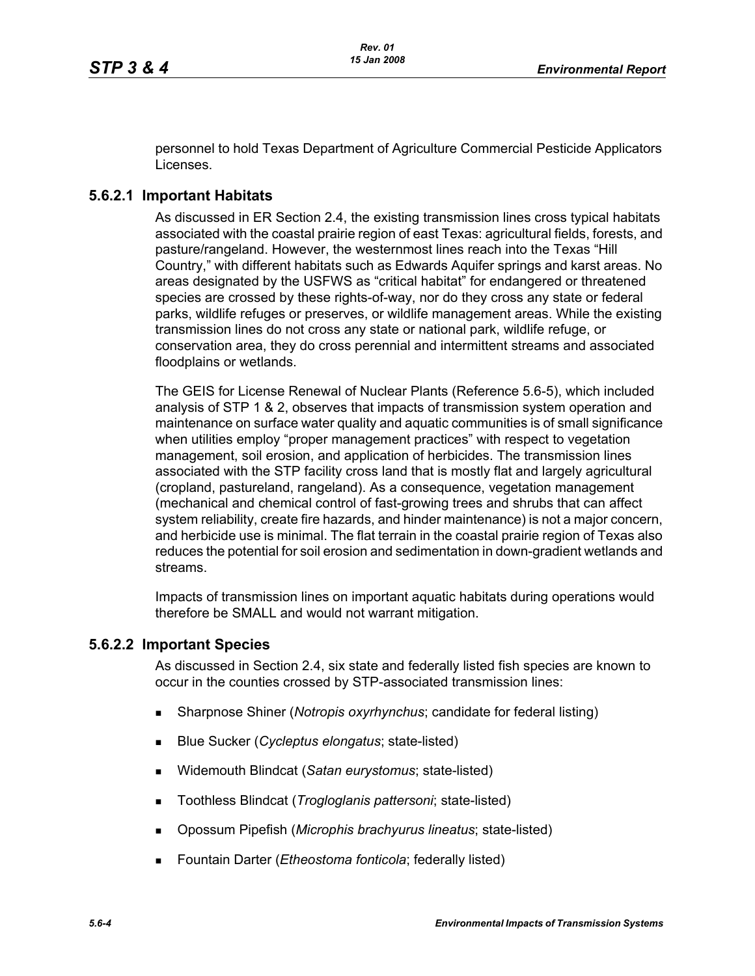personnel to hold Texas Department of Agriculture Commercial Pesticide Applicators Licenses.

# **5.6.2.1 Important Habitats**

As discussed in ER Section 2.4, the existing transmission lines cross typical habitats associated with the coastal prairie region of east Texas: agricultural fields, forests, and pasture/rangeland. However, the westernmost lines reach into the Texas "Hill Country," with different habitats such as Edwards Aquifer springs and karst areas. No areas designated by the USFWS as "critical habitat" for endangered or threatened species are crossed by these rights-of-way, nor do they cross any state or federal parks, wildlife refuges or preserves, or wildlife management areas. While the existing transmission lines do not cross any state or national park, wildlife refuge, or conservation area, they do cross perennial and intermittent streams and associated floodplains or wetlands.

The GEIS for License Renewal of Nuclear Plants (Reference 5.6-5), which included analysis of STP 1 & 2, observes that impacts of transmission system operation and maintenance on surface water quality and aquatic communities is of small significance when utilities employ "proper management practices" with respect to vegetation management, soil erosion, and application of herbicides. The transmission lines associated with the STP facility cross land that is mostly flat and largely agricultural (cropland, pastureland, rangeland). As a consequence, vegetation management (mechanical and chemical control of fast-growing trees and shrubs that can affect system reliability, create fire hazards, and hinder maintenance) is not a major concern, and herbicide use is minimal. The flat terrain in the coastal prairie region of Texas also reduces the potential for soil erosion and sedimentation in down-gradient wetlands and streams.

Impacts of transmission lines on important aquatic habitats during operations would therefore be SMALL and would not warrant mitigation.

#### **5.6.2.2 Important Species**

As discussed in Section 2.4, six state and federally listed fish species are known to occur in the counties crossed by STP-associated transmission lines:

- Sharpnose Shiner (*Notropis oxyrhynchus*; candidate for federal listing)
- Blue Sucker (*Cycleptus elongatus*; state-listed)
- Widemouth Blindcat (*Satan eurystomus*; state-listed)
- Toothless Blindcat (*Trogloglanis pattersoni*; state-listed)
- Opossum Pipefish (*Microphis brachyurus lineatus*; state-listed)
- Fountain Darter (*Etheostoma fonticola*; federally listed)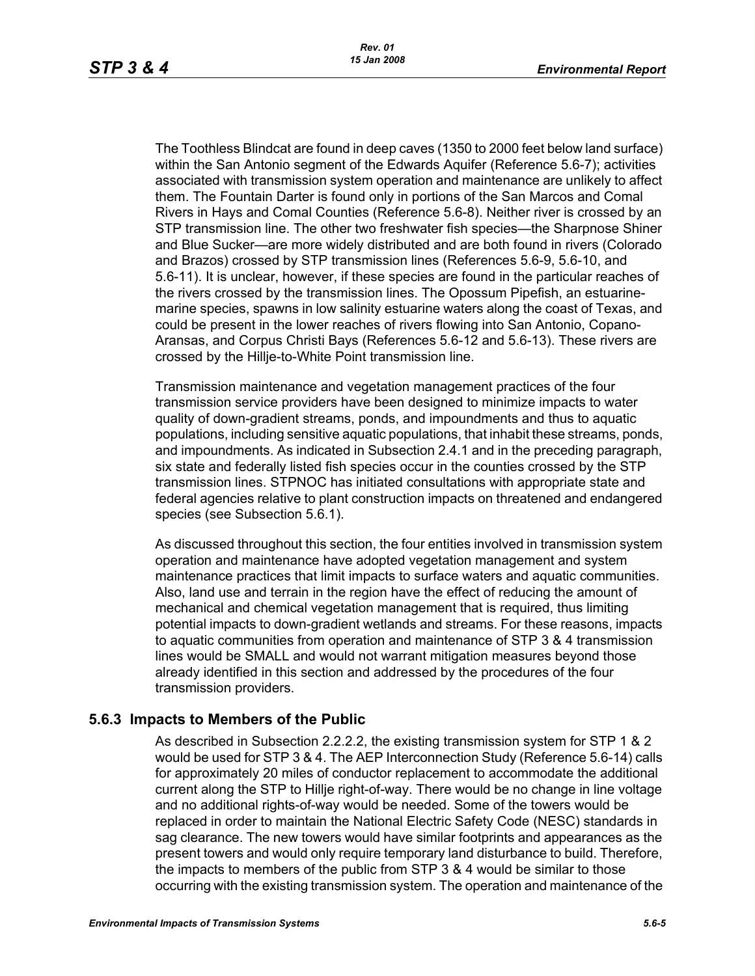The Toothless Blindcat are found in deep caves (1350 to 2000 feet below land surface) within the San Antonio segment of the Edwards Aquifer (Reference 5.6-7); activities associated with transmission system operation and maintenance are unlikely to affect them. The Fountain Darter is found only in portions of the San Marcos and Comal Rivers in Hays and Comal Counties (Reference 5.6-8). Neither river is crossed by an STP transmission line. The other two freshwater fish species—the Sharpnose Shiner and Blue Sucker—are more widely distributed and are both found in rivers (Colorado and Brazos) crossed by STP transmission lines (References 5.6-9, 5.6-10, and 5.6-11). It is unclear, however, if these species are found in the particular reaches of the rivers crossed by the transmission lines. The Opossum Pipefish, an estuarinemarine species, spawns in low salinity estuarine waters along the coast of Texas, and could be present in the lower reaches of rivers flowing into San Antonio, Copano-Aransas, and Corpus Christi Bays (References 5.6-12 and 5.6-13). These rivers are crossed by the Hillje-to-White Point transmission line.

Transmission maintenance and vegetation management practices of the four transmission service providers have been designed to minimize impacts to water quality of down-gradient streams, ponds, and impoundments and thus to aquatic populations, including sensitive aquatic populations, that inhabit these streams, ponds, and impoundments. As indicated in Subsection 2.4.1 and in the preceding paragraph, six state and federally listed fish species occur in the counties crossed by the STP transmission lines. STPNOC has initiated consultations with appropriate state and federal agencies relative to plant construction impacts on threatened and endangered species (see Subsection 5.6.1).

As discussed throughout this section, the four entities involved in transmission system operation and maintenance have adopted vegetation management and system maintenance practices that limit impacts to surface waters and aquatic communities. Also, land use and terrain in the region have the effect of reducing the amount of mechanical and chemical vegetation management that is required, thus limiting potential impacts to down-gradient wetlands and streams. For these reasons, impacts to aquatic communities from operation and maintenance of STP 3 & 4 transmission lines would be SMALL and would not warrant mitigation measures beyond those already identified in this section and addressed by the procedures of the four transmission providers.

#### **5.6.3 Impacts to Members of the Public**

As described in Subsection 2.2.2.2, the existing transmission system for STP 1 & 2 would be used for STP 3 & 4. The AEP Interconnection Study (Reference 5.6-14) calls for approximately 20 miles of conductor replacement to accommodate the additional current along the STP to Hillje right-of-way. There would be no change in line voltage and no additional rights-of-way would be needed. Some of the towers would be replaced in order to maintain the National Electric Safety Code (NESC) standards in sag clearance. The new towers would have similar footprints and appearances as the present towers and would only require temporary land disturbance to build. Therefore, the impacts to members of the public from STP 3 & 4 would be similar to those occurring with the existing transmission system. The operation and maintenance of the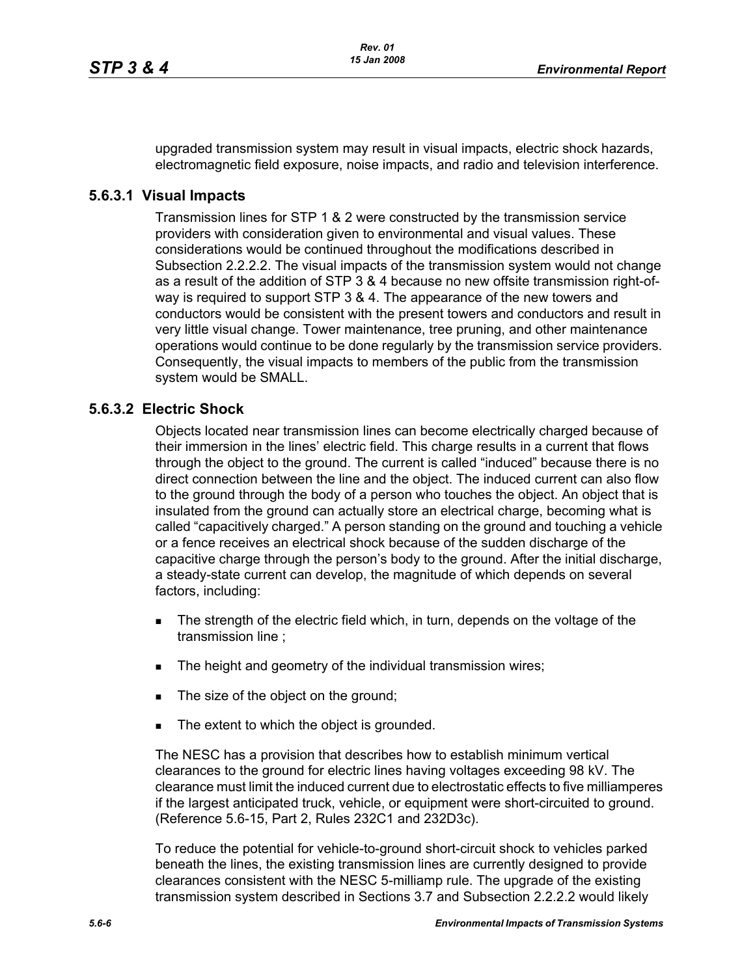upgraded transmission system may result in visual impacts, electric shock hazards, electromagnetic field exposure, noise impacts, and radio and television interference.

### **5.6.3.1 Visual Impacts**

Transmission lines for STP 1 & 2 were constructed by the transmission service providers with consideration given to environmental and visual values. These considerations would be continued throughout the modifications described in Subsection 2.2.2.2. The visual impacts of the transmission system would not change as a result of the addition of STP 3 & 4 because no new offsite transmission right-ofway is required to support STP 3 & 4. The appearance of the new towers and conductors would be consistent with the present towers and conductors and result in very little visual change. Tower maintenance, tree pruning, and other maintenance operations would continue to be done regularly by the transmission service providers. Consequently, the visual impacts to members of the public from the transmission system would be SMALL.

# **5.6.3.2 Electric Shock**

Objects located near transmission lines can become electrically charged because of their immersion in the lines' electric field. This charge results in a current that flows through the object to the ground. The current is called "induced" because there is no direct connection between the line and the object. The induced current can also flow to the ground through the body of a person who touches the object. An object that is insulated from the ground can actually store an electrical charge, becoming what is called "capacitively charged." A person standing on the ground and touching a vehicle or a fence receives an electrical shock because of the sudden discharge of the capacitive charge through the person's body to the ground. After the initial discharge, a steady-state current can develop, the magnitude of which depends on several factors, including:

- The strength of the electric field which, in turn, depends on the voltage of the transmission line ;
- The height and geometry of the individual transmission wires;
- The size of the object on the ground;
- The extent to which the object is grounded.

The NESC has a provision that describes how to establish minimum vertical clearances to the ground for electric lines having voltages exceeding 98 kV. The clearance must limit the induced current due to electrostatic effects to five milliamperes if the largest anticipated truck, vehicle, or equipment were short-circuited to ground. (Reference 5.6-15, Part 2, Rules 232C1 and 232D3c).

To reduce the potential for vehicle-to-ground short-circuit shock to vehicles parked beneath the lines, the existing transmission lines are currently designed to provide clearances consistent with the NESC 5-milliamp rule. The upgrade of the existing transmission system described in Sections 3.7 and Subsection 2.2.2.2 would likely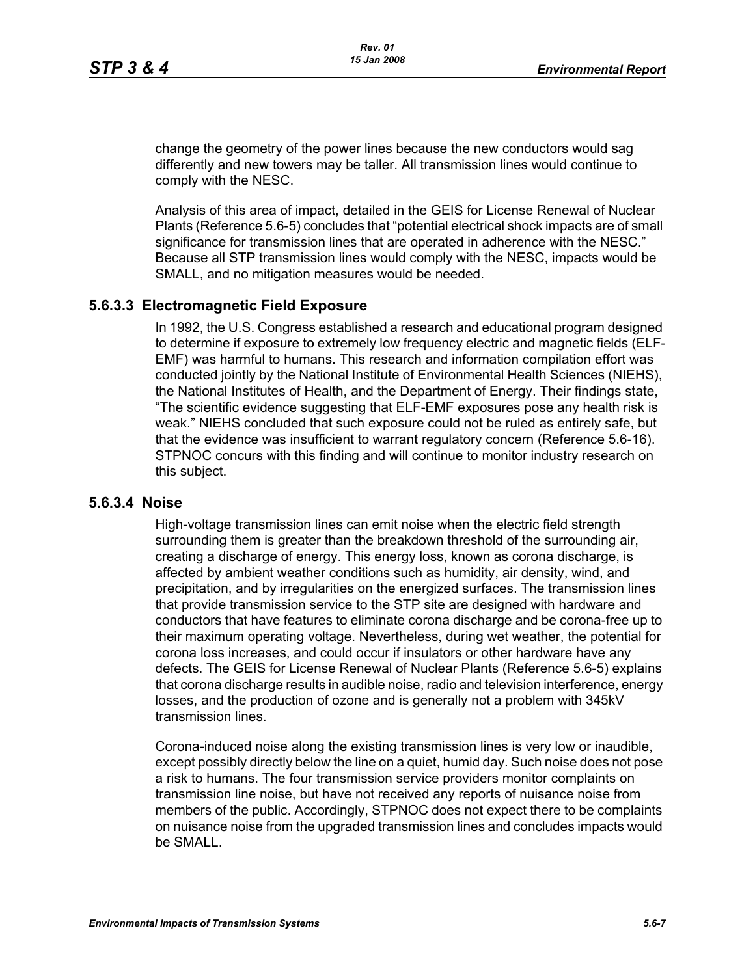change the geometry of the power lines because the new conductors would sag differently and new towers may be taller. All transmission lines would continue to comply with the NESC.

Analysis of this area of impact, detailed in the GEIS for License Renewal of Nuclear Plants (Reference 5.6-5) concludes that "potential electrical shock impacts are of small significance for transmission lines that are operated in adherence with the NESC." Because all STP transmission lines would comply with the NESC, impacts would be SMALL, and no mitigation measures would be needed.

#### **5.6.3.3 Electromagnetic Field Exposure**

In 1992, the U.S. Congress established a research and educational program designed to determine if exposure to extremely low frequency electric and magnetic fields (ELF-EMF) was harmful to humans. This research and information compilation effort was conducted jointly by the National Institute of Environmental Health Sciences (NIEHS), the National Institutes of Health, and the Department of Energy. Their findings state, "The scientific evidence suggesting that ELF-EMF exposures pose any health risk is weak." NIEHS concluded that such exposure could not be ruled as entirely safe, but that the evidence was insufficient to warrant regulatory concern (Reference 5.6-16). STPNOC concurs with this finding and will continue to monitor industry research on this subject.

#### **5.6.3.4 Noise**

High-voltage transmission lines can emit noise when the electric field strength surrounding them is greater than the breakdown threshold of the surrounding air, creating a discharge of energy. This energy loss, known as corona discharge, is affected by ambient weather conditions such as humidity, air density, wind, and precipitation, and by irregularities on the energized surfaces. The transmission lines that provide transmission service to the STP site are designed with hardware and conductors that have features to eliminate corona discharge and be corona-free up to their maximum operating voltage. Nevertheless, during wet weather, the potential for corona loss increases, and could occur if insulators or other hardware have any defects. The GEIS for License Renewal of Nuclear Plants (Reference 5.6-5) explains that corona discharge results in audible noise, radio and television interference, energy losses, and the production of ozone and is generally not a problem with 345kV transmission lines.

Corona-induced noise along the existing transmission lines is very low or inaudible, except possibly directly below the line on a quiet, humid day. Such noise does not pose a risk to humans. The four transmission service providers monitor complaints on transmission line noise, but have not received any reports of nuisance noise from members of the public. Accordingly, STPNOC does not expect there to be complaints on nuisance noise from the upgraded transmission lines and concludes impacts would be SMALL.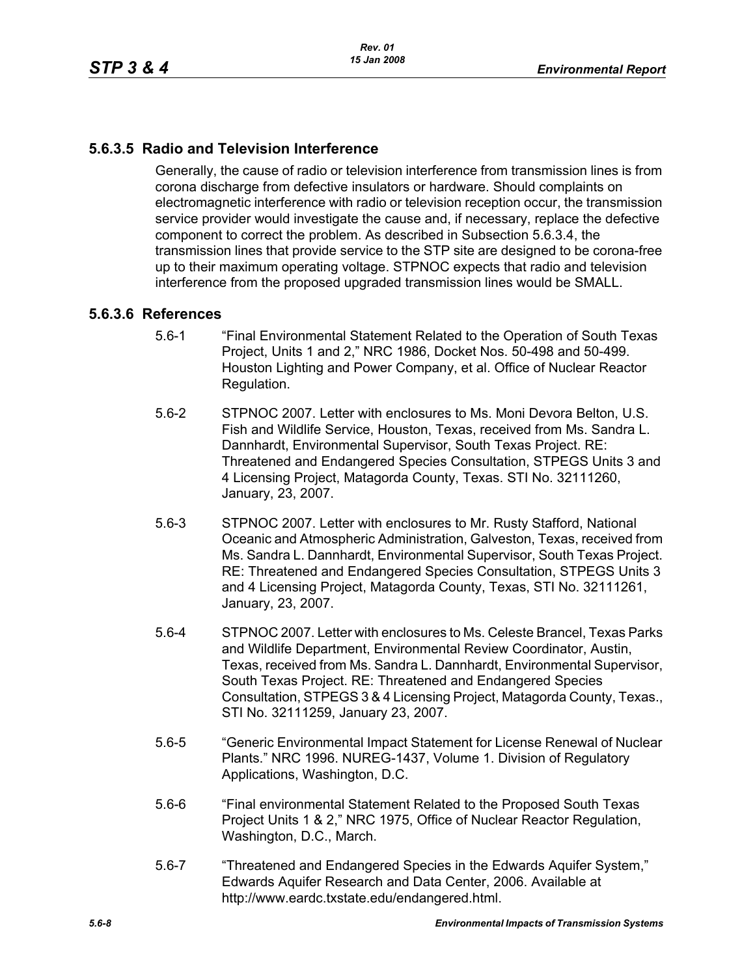# **5.6.3.5 Radio and Television Interference**

Generally, the cause of radio or television interference from transmission lines is from corona discharge from defective insulators or hardware. Should complaints on electromagnetic interference with radio or television reception occur, the transmission service provider would investigate the cause and, if necessary, replace the defective component to correct the problem. As described in Subsection 5.6.3.4, the transmission lines that provide service to the STP site are designed to be corona-free up to their maximum operating voltage. STPNOC expects that radio and television interference from the proposed upgraded transmission lines would be SMALL.

# **5.6.3.6 References**

- 5.6-1 "Final Environmental Statement Related to the Operation of South Texas Project, Units 1 and 2," NRC 1986, Docket Nos. 50-498 and 50-499. Houston Lighting and Power Company, et al. Office of Nuclear Reactor Regulation.
- 5.6-2 STPNOC 2007. Letter with enclosures to Ms. Moni Devora Belton, U.S. Fish and Wildlife Service, Houston, Texas, received from Ms. Sandra L. Dannhardt, Environmental Supervisor, South Texas Project. RE: Threatened and Endangered Species Consultation, STPEGS Units 3 and 4 Licensing Project, Matagorda County, Texas. STI No. 32111260, January, 23, 2007.
- 5.6-3 STPNOC 2007. Letter with enclosures to Mr. Rusty Stafford, National Oceanic and Atmospheric Administration, Galveston, Texas, received from Ms. Sandra L. Dannhardt, Environmental Supervisor, South Texas Project. RE: Threatened and Endangered Species Consultation, STPEGS Units 3 and 4 Licensing Project, Matagorda County, Texas, STI No. 32111261, January, 23, 2007.
- 5.6-4 STPNOC 2007. Letter with enclosures to Ms. Celeste Brancel, Texas Parks and Wildlife Department, Environmental Review Coordinator, Austin, Texas, received from Ms. Sandra L. Dannhardt, Environmental Supervisor, South Texas Project. RE: Threatened and Endangered Species Consultation, STPEGS 3 & 4 Licensing Project, Matagorda County, Texas., STI No. 32111259, January 23, 2007.
- 5.6-5 "Generic Environmental Impact Statement for License Renewal of Nuclear Plants." NRC 1996. NUREG-1437, Volume 1. Division of Regulatory Applications, Washington, D.C.
- 5.6-6 "Final environmental Statement Related to the Proposed South Texas Project Units 1 & 2," NRC 1975, Office of Nuclear Reactor Regulation, Washington, D.C., March.
- 5.6-7 "Threatened and Endangered Species in the Edwards Aquifer System," Edwards Aquifer Research and Data Center, 2006. Available at http://www.eardc.txstate.edu/endangered.html.